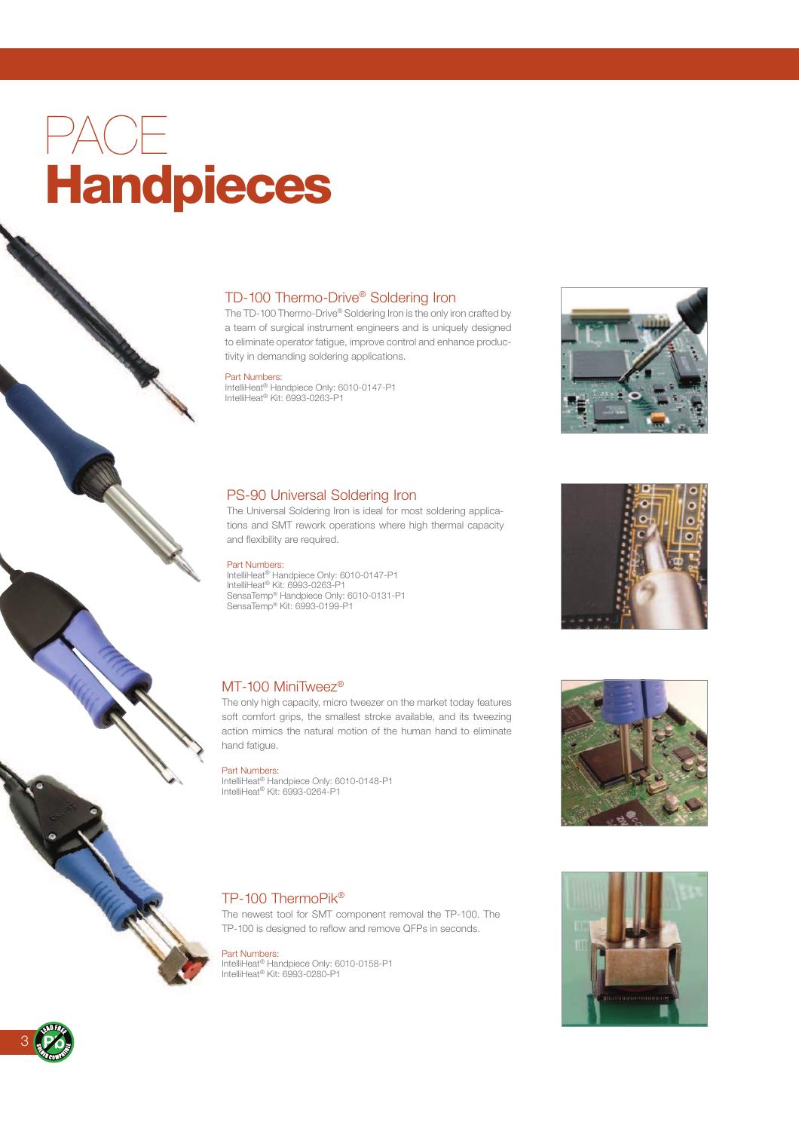# PACE Handpieces

# TD-100 Thermo-Drive® Soldering Iron

The TD-100 Thermo-Drive® Soldering Iron is the only iron crafted by a team of surgical instrument engineers and is uniquely designed to eliminate operator fatigue, improve control and enhance productivity in demanding soldering applications.

#### Part Numbers:

IntelliHeat® Handpiece Only: 6010-0147-P1 IntelliHeat® Kit: 6993-0263-P1

## PS-90 Universal Soldering Iron

The Universal Soldering Iron is ideal for most soldering applications and SMT rework operations where high thermal capacity and flexibility are required.

#### Part Numbers:

IntelliHeat<sup>®</sup> Handpiece Only: 6010-0147-P1 IntelliHeat® Kit: 6993-0263-P1 SensaTemp® Handpiece Only: 6010-0131-P1 SensaTemp® Kit: 6993-0199-P1

# MT-100 MiniTweez<sup>®</sup>

The only high capacity, micro tweezer on the market today features soft comfort grips, the smallest stroke available, and its tweezing action mimics the natural motion of the human hand to eliminate hand fatigue.

Part Numbers:<br>IntelliHeat® Handpiece Only: 6010-0148-P1<br>IntelliHeat® Kit: 6993-0264-P1

# TP-100 ThermoPik®

The newest tool for SMT component removal the TP-100. The TP-100 is designed to reflow and remove QFPs in seconds.

Part Numbers: IntelliHeat® Handpiece Only: 6010-0158-P1 IntelliHeat® Kit: 6993-0280-P1